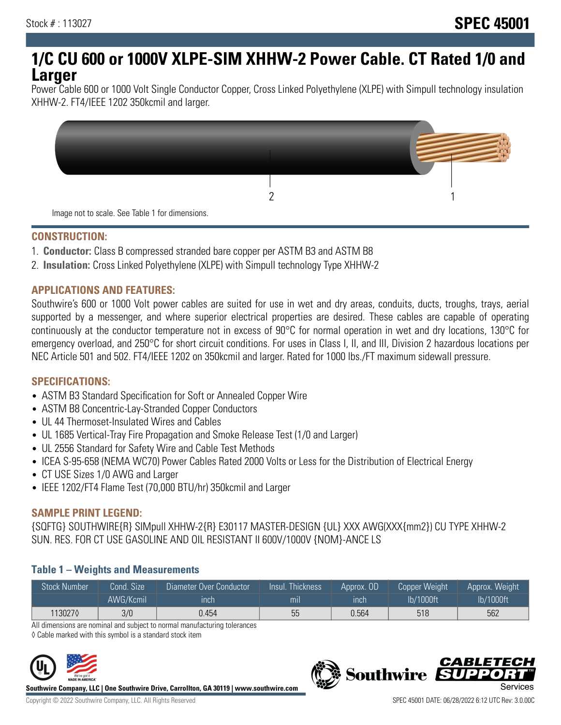# **1/C CU 600 or 1000V XLPE-SIM XHHW-2 Power Cable. CT Rated 1/0 and Larger**

Power Cable 600 or 1000 Volt Single Conductor Copper, Cross Linked Polyethylene (XLPE) with Simpull technology insulation XHHW-2. FT4/IEEE 1202 350kcmil and larger.



### **CONSTRUCTION:**

- 1. **Conductor:** Class B compressed stranded bare copper per ASTM B3 and ASTM B8
- 2. **Insulation:** Cross Linked Polyethylene (XLPE) with Simpull technology Type XHHW-2

## **APPLICATIONS AND FEATURES:**

Southwire's 600 or 1000 Volt power cables are suited for use in wet and dry areas, conduits, ducts, troughs, trays, aerial supported by a messenger, and where superior electrical properties are desired. These cables are capable of operating continuously at the conductor temperature not in excess of 90°C for normal operation in wet and dry locations, 130°C for emergency overload, and 250°C for short circuit conditions. For uses in Class I, II, and III, Division 2 hazardous locations per NEC Article 501 and 502. FT4/IEEE 1202 on 350kcmil and larger. Rated for 1000 lbs./FT maximum sidewall pressure.

### **SPECIFICATIONS:**

- ASTM B3 Standard Specification for Soft or Annealed Copper Wire
- ASTM B8 Concentric-Lay-Stranded Copper Conductors
- UL 44 Thermoset-Insulated Wires and Cables
- UL 1685 Vertical-Tray Fire Propagation and Smoke Release Test (1/0 and Larger)
- UL 2556 Standard for Safety Wire and Cable Test Methods
- ICEA S-95-658 (NEMA WC70) Power Cables Rated 2000 Volts or Less for the Distribution of Electrical Energy
- CT USE Sizes 1/0 AWG and Larger
- IEEE 1202/FT4 Flame Test (70,000 BTU/hr) 350kcmil and Larger

### **SAMPLE PRINT LEGEND:**

{SQFTG} SOUTHWIRE{R} SIMpull XHHW-2{R} E30117 MASTER-DESIGN {UL} XXX AWG(XXX{mm2}) CU TYPE XHHW-2 SUN. RES. FOR CT USE GASOLINE AND OIL RESISTANT II 600V/1000V {NOM}-ANCE LS

### **Table 1 – Weights and Measurements**

| <b>Stock Number</b> | Cond. Size | Diameter Over Conductor | Insul. Thickness | Approx. OD | <b>Copper Weight</b> | Approx. Weight |
|---------------------|------------|-------------------------|------------------|------------|----------------------|----------------|
|                     | AWG/Kcmil  | ınch                    | mıl              | inch       | lb/1000ft            | lb/1000ft      |
| 1130270             | 3/0        | 0.454                   | 55               | 0.564      | 518                  | 562            |

All dimensions are nominal and subject to normal manufacturing tolerances

◊ Cable marked with this symbol is a standard stock item



**Southwire Company, LLC | One Southwire Drive, Carrollton, GA 30119 | www.southwire.com**

*CABLETE*